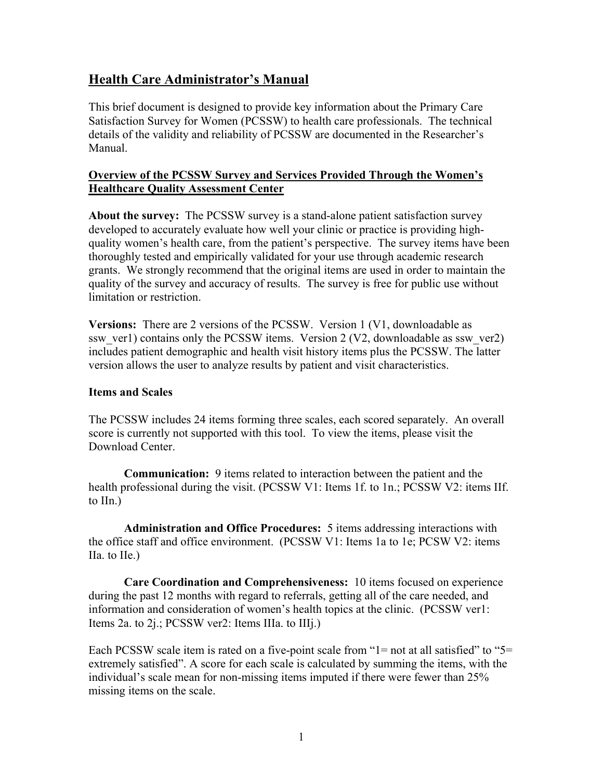# **Health Care Administrator's Manual**

This brief document is designed to provide key information about the Primary Care Satisfaction Survey for Women (PCSSW) to health care professionals. The technical details of the validity and reliability of PCSSW are documented in the Researcher's Manual.

# **Overview of the PCSSW Survey and Services Provided Through the Women's Healthcare Quality Assessment Center**

**About the survey:** The PCSSW survey is a stand-alone patient satisfaction survey developed to accurately evaluate how well your clinic or practice is providing highquality women's health care, from the patient's perspective. The survey items have been thoroughly tested and empirically validated for your use through academic research grants. We strongly recommend that the original items are used in order to maintain the quality of the survey and accuracy of results. The survey is free for public use without limitation or restriction.

**Versions:** There are 2 versions of the PCSSW. Version 1 (V1, downloadable as ssw\_ver1) contains only the PCSSW items. Version 2 (V2, downloadable as ssw\_ver2) includes patient demographic and health visit history items plus the PCSSW. The latter version allows the user to analyze results by patient and visit characteristics.

#### **Items and Scales**

The PCSSW includes 24 items forming three scales, each scored separately. An overall score is currently not supported with this tool. To view the items, please visit the Download Center.

**Communication:** 9 items related to interaction between the patient and the health professional during the visit. (PCSSW V1: Items 1f. to 1n.; PCSSW V2: items IIf. to IIn.)

**Administration and Office Procedures:** 5 items addressing interactions with the office staff and office environment. (PCSSW V1: Items 1a to 1e; PCSW V2: items IIa. to IIe.)

**Care Coordination and Comprehensiveness:** 10 items focused on experience during the past 12 months with regard to referrals, getting all of the care needed, and information and consideration of women's health topics at the clinic. (PCSSW ver1: Items 2a. to 2j.; PCSSW ver2: Items IIIa. to IIIj.)

Each PCSSW scale item is rated on a five-point scale from "1= not at all satisfied" to "5= extremely satisfied". A score for each scale is calculated by summing the items, with the individual's scale mean for non-missing items imputed if there were fewer than 25% missing items on the scale.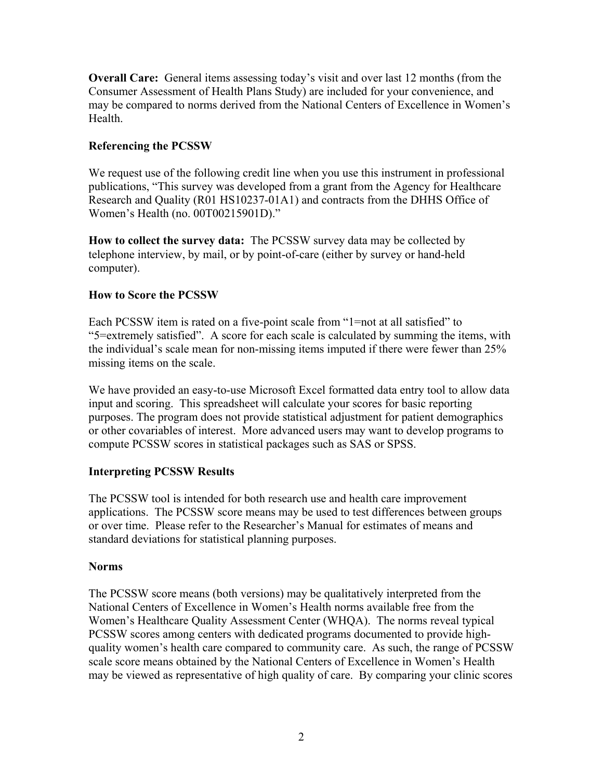**Overall Care:** General items assessing today's visit and over last 12 months (from the Consumer Assessment of Health Plans Study) are included for your convenience, and may be compared to norms derived from the National Centers of Excellence in Women's Health.

# **Referencing the PCSSW**

We request use of the following credit line when you use this instrument in professional publications, "This survey was developed from a grant from the Agency for Healthcare Research and Quality (R01 HS10237-01A1) and contracts from the DHHS Office of Women's Health (no. 00T00215901D)."

**How to collect the survey data:** The PCSSW survey data may be collected by telephone interview, by mail, or by point-of-care (either by survey or hand-held computer).

# **How to Score the PCSSW**

Each PCSSW item is rated on a five-point scale from "1=not at all satisfied" to "5=extremely satisfied". A score for each scale is calculated by summing the items, with the individual's scale mean for non-missing items imputed if there were fewer than 25% missing items on the scale.

We have provided an easy-to-use Microsoft Excel formatted data entry tool to allow data input and scoring. This spreadsheet will calculate your scores for basic reporting purposes. The program does not provide statistical adjustment for patient demographics or other covariables of interest. More advanced users may want to develop programs to compute PCSSW scores in statistical packages such as SAS or SPSS.

# **Interpreting PCSSW Results**

The PCSSW tool is intended for both research use and health care improvement applications. The PCSSW score means may be used to test differences between groups or over time. Please refer to the Researcher's Manual for estimates of means and standard deviations for statistical planning purposes.

# **Norms**

The PCSSW score means (both versions) may be qualitatively interpreted from the National Centers of Excellence in Women's Health norms available free from the Women's Healthcare Quality Assessment Center (WHQA). The norms reveal typical PCSSW scores among centers with dedicated programs documented to provide highquality women's health care compared to community care. As such, the range of PCSSW scale score means obtained by the National Centers of Excellence in Women's Health may be viewed as representative of high quality of care. By comparing your clinic scores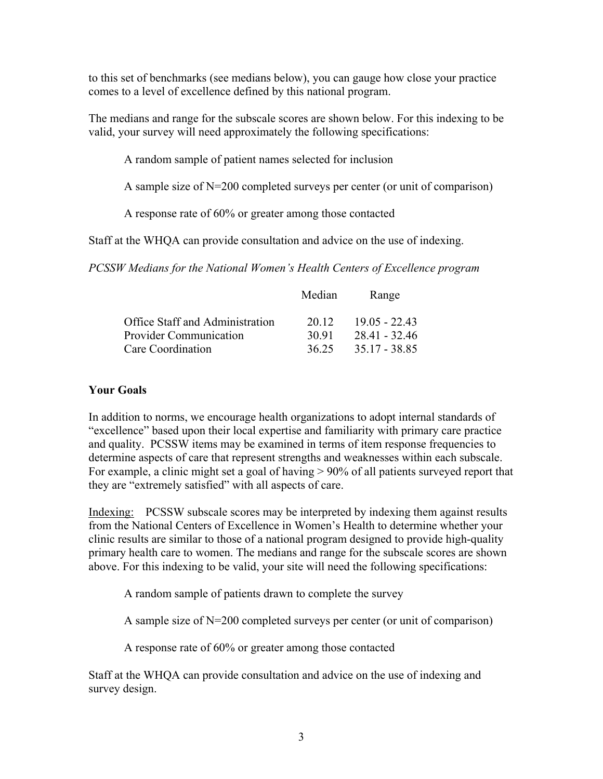to this set of benchmarks (see medians below), you can gauge how close your practice comes to a level of excellence defined by this national program.

The medians and range for the subscale scores are shown below. For this indexing to be valid, your survey will need approximately the following specifications:

A random sample of patient names selected for inclusion

A sample size of N=200 completed surveys per center (or unit of comparison)

A response rate of 60% or greater among those contacted

Staff at the WHQA can provide consultation and advice on the use of indexing.

*PCSSW Medians for the National Women's Health Centers of Excellence program* 

|                                 | Median | Range           |
|---------------------------------|--------|-----------------|
| Office Staff and Administration | 20.12  | 19 05 - 22 43   |
| <b>Provider Communication</b>   | 30.91  | $28.41 - 32.46$ |
| Care Coordination               | 36.25  | 35.17 - 38.85   |

# **Your Goals**

In addition to norms, we encourage health organizations to adopt internal standards of "excellence" based upon their local expertise and familiarity with primary care practice and quality. PCSSW items may be examined in terms of item response frequencies to determine aspects of care that represent strengths and weaknesses within each subscale. For example, a clinic might set a goal of having > 90% of all patients surveyed report that they are "extremely satisfied" with all aspects of care.

Indexing: PCSSW subscale scores may be interpreted by indexing them against results from the National Centers of Excellence in Women's Health to determine whether your clinic results are similar to those of a national program designed to provide high-quality primary health care to women. The medians and range for the subscale scores are shown above. For this indexing to be valid, your site will need the following specifications:

A random sample of patients drawn to complete the survey

A sample size of N=200 completed surveys per center (or unit of comparison)

A response rate of 60% or greater among those contacted

Staff at the WHQA can provide consultation and advice on the use of indexing and survey design.